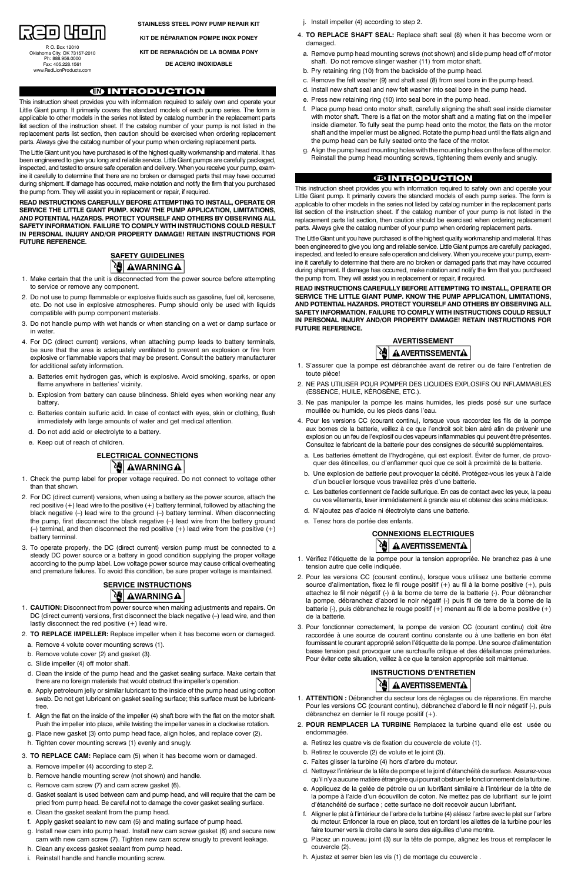**STAINLESS STEEL PONY PUMP REPAIR KIT**

**Kit de réparation pompe inox poney**

**Kit de repara ción de la bomba Pony**

**de acero inoxidable**

#### **EN** INTRODUCTION

This instruction sheet provides you with information required to safely own and operate your Little Giant pump. It primarily covers the standard models of each pump series. The form is applicable to other models in the series not listed by catalog number in the replacement parts list section of the instruction sheet. If the catalog number of your pump is not listed in the replacement parts list section, then caution should be exercised when ordering replacement parts. Always give the catalog number of your pump when ordering replacement parts.

The Little Giant unit you have purchased is of the highest quality workmanship and material. It has been engineered to give you long and reliable service. Little Giant pumps are carefully packaged, inspected, and tested to ensure safe operation and delivery. When you receive your pump, examine it carefully to determine that there are no broken or damaged parts that may have occurred during shipment. If damage has occurred, make notation and notify the firm that you purchased the pump from. They will assist you in replacement or repair, if required.

### **ELECTRICAL CONNECTIONS** U AWARNINGA

**READ INSTRUCTIONS CAREFULLY BEFORE ATTEMPTING TO INSTALL, OPERATE OR SERVICE THE LITTLE GIANT PUMP. KNOW THE PUMP APPLICATION, LIMITATIONS, AND POTENTIAL HAZARDS. PROTECT YOURSELF AND OTHERS BY OBSERVING ALL SAFETY INFORMATION. FAILURE TO COMPLY WITH INSTRUCTIONS COULD RESULT IN PERSONAL INJURY AND/OR PROPERTY DAMAGE! RETAIN INSTRUCTIONS FOR FUTURE REFERENCE.**



## **SERVICE INSTRUCTIONS**  $|\mathcal{F}|$   $\bm{\nabla}$   $\bm{\Delta}$   $\bm{\nabla}$   $\bm{\Delta}$   $\bm{\Delta}$   $\bm{\Delta}$

- 1. Make certain that the unit is disconnected from the power source before attempting to service or remove any component.
- 2. Do not use to pump flammable or explosive fluids such as gasoline, fuel oil, kerosene, etc. Do not use in explosive atmospheres. Pump should only be used with liquids compatible with pump component materials.
- 3. Do not handle pump with wet hands or when standing on a wet or damp surface or in water.
- 4. For DC (direct current) versions, when attaching pump leads to battery terminals, be sure that the area is adequately ventilated to prevent an explosion or fire from explosive or flammable vapors that may be present. Consult the battery manufacturer for additional safety information.
	- a. Batteries emit hydrogen gas, which is explosive. Avoid smoking, sparks, or open flame anywhere in batteries' vicinity.
	- b. Explosion from battery can cause blindness. Shield eyes when working near any battery.
	- c. Batteries contain sulfuric acid. In case of contact with eyes, skin or clothing, flush immediately with large amounts of water and get medical attention.
	- d. Do not add acid or electrolyte to a battery.
	- e. Keep out of reach of children.

- 1. Check the pump label for proper voltage required. Do not connect to voltage other than that shown.
- 2. For DC (direct current) versions, when using a battery as the power source, attach the red positive  $(+)$  lead wire to the positive  $(+)$  battery terminal, followed by attaching the black negative (–) lead wire to the ground (–) battery terminal. When disconnecting the pump, first disconnect the black negative (–) lead wire from the battery ground  $(-)$  terminal, and then disconnect the red positive  $(+)$  lead wire from the positive  $(+)$ battery terminal.
- 3. To operate properly, the DC (direct current) version pump must be connected to a steady DC power source or a battery in good condition supplying the proper voltage according to the pump label. Low voltage power source may cause critical overheating and premature failures. To avoid this condition, be sure proper voltage is maintained.

- 1. **CAUTION:** Disconnect from power source when making adjustments and repairs. On DC (direct current) versions, first disconnect the black negative (–) lead wire, and then lastly disconnect the red positive (+) lead wire.
- 2. **TO REPLACE IMPELLER:** Replace impeller when it has become worn or damaged.
- a. Remove 4 volute cover mounting screws (1).

### **AVERTISSEMENT A AVERTISSEMENTA**

- b. Remove volute cover (2) and gasket (3).
- c. Slide impeller (4) off motor shaft.
- d. Clean the inside of the pump head and the gasket sealing surface. Make certain that there are no foreign materials that would obstruct the impeller's operation.
- e. Apply petroleum jelly or similar lubricant to the inside of the pump head using cotton swab. Do not get lubricant on gasket sealing surface; this surface must be lubricantfree.
- f. Align the flat on the inside of the impeller (4) shaft bore with the flat on the motor shaft. Push the impeller into place, while twisting the impeller vanes in a clockwise rotation.
- g. Place new gasket (3) onto pump head face, align holes, and replace cover (2).
- h. Tighten cover mounting screws (1) evenly and snugly.
- 3. **TO REPLACE CAM:** Replace cam (5) when it has become worn or damaged.
- a. Remove impeller (4) according to step 2.
- b. Remove handle mounting screw (not shown) and handle.
- c. Remove cam screw (7) and cam screw gasket (6).
- d. Gasket sealant is used between cam and pump head, and will require that the cam be pried from pump head. Be careful not to damage the cover gasket sealing surface.
- e. Clean the gasket sealant from the pump head.
- f. Apply gasket sealant to new cam (5) and mating surface of pump head.
- g. Install new cam into pump head. Install new cam screw gasket (6) and secure new cam with new cam screw (7). Tighten new cam screw snugly to prevent leakage.
- h. Clean any excess gasket sealant from pump head.
- i. Reinstall handle and handle mounting screw.
- j. Install impeller (4) according to step 2.
- 4. **TO REPLACE SHAFT SEAL:** Replace shaft seal (8) when it has become worn or damaged.
- a. Remove pump head mounting screws (not shown) and slide pump head off of motor shaft. Do not remove slinger washer (11) from motor shaft.
- b. Pry retaining ring (10) from the backside of the pump head.
- c. Remove the felt washer (9) and shaft seal (8) from seal bore in the pump head.
- d. Install new shaft seal and new felt washer into seal bore in the pump head.
- e. Press new retaining ring (10) into seal bore in the pump head.
- f. Place pump head onto motor shaft, carefully aligning the shaft seal inside diameter with motor shaft. There is a flat on the motor shaft and a mating flat on the impeller inside diameter. To fully seat the pump head onto the motor, the flats on the motor shaft and the impeller must be aligned. Rotate the pump head until the flats align and the pump head can be fully seated onto the face of the motor.
- g. Align the pump head mounting holes with the mounting holes on the face of the motor. Reinstall the pump head mounting screws, tightening them evenly and snugly.

#### **EDINTRODUCTION**

This instruction sheet provides you with information required to safely own and operate your Little Giant pump. It primarily covers the standard models of each pump series. The form is applicable to other models in the series not listed by catalog number in the replacement parts list section of the instruction sheet. If the catalog number of your pump is not listed in the replacement parts list section, then caution should be exercised when ordering replacement parts. Always give the catalog number of your pump when ordering replacement parts.

The Little Giant unit you have purchased is of the highest quality workmanship and material. It has been engineered to give you long and reliable service. Little Giant pumps are carefully packaged, inspected, and tested to ensure safe operation and delivery. When you receive your pump, examine it carefully to determine that there are no broken or damaged parts that may have occurred during shipment. If damage has occurred, make notation and notify the firm that you purchased the pump from. They will assist you in replacement or repair, if required.

**READ INSTRUCTIONS CAREFULLY BEFORE ATTEMPTING TO INSTALL, OPERATE OR SERVICE THE LITTLE GIANT PUMP. KNOW THE PUMP APPLICATION, LIMITATIONS, AND POTENTIAL HAZARDS. PROTECT YOURSELF AND OTHERS BY OBSERVING ALL SAFETY INFORMATION. FAILURE TO COMPLY WITH INSTRUCTIONS COULD RESULT IN PERSONAL INJURY AND/OR PROPERTY DAMAGE! RETAIN INSTRUCTIONS FOR FUTURE REFERENCE.**

- 1. S'assurer que la pompe est débranchée avant de retirer ou de faire l'entretien de toute pièce!
- 2. NE PAS UTILISER POUR POMPER DES LIQUIDES EXPLOSIFS OU INFLAMMABLES (ESSENCE, HUILE, KÉROSÈNE, ETC.).
- 3. Ne pas manipuler la pompe les mains humides, les pieds posé sur une surface mouillée ou humide, ou les pieds dans l'eau.
- 4. Pour les versions CC (courant continu), lorsque vous raccordez les fils de la pompe aux bornes de la batterie, veillez à ce que l'endroit soit bien aéré afin de prévenir une explosion ou un feu de l'explosif ou des vapeurs inflammables qui peuvent être présentes. Consultez le fabricant de la batterie pour des consignes de sécurité supplémentaires.
- a. Les batteries émettent de l'hydrogène, qui est explosif. Éviter de fumer, de provoquer des étincelles, ou d'enflammer quoi que ce soit à proximité de la batterie.
- b. Une explosion de batterie peut provoquer la cécité. Protégez-vous les yeux à l'aide d'un bouclier lorsque vous travaillez près d'une batterie.
- c. Les batteries contiennent de l'acide sulfurique. En cas de contact avec les yeux, la peau ou vos vêtements, laver immédiatement à grande eau et obtenez des soins médicaux.
- d. N'ajoutez pas d'acide ni électrolyte dans une batterie.
- e. Tenez hors de portée des enfants.

## **CONNEXIONS ELECTRIqUES**



- 1. Vérifiez l'étiquette de la pompe pour la tension appropriée. Ne branchez pas à une tension autre que celle indiquée.
- 2. Pour les versions CC (courant continu), lorsque vous utilisez une batterie comme source d'alimentation, fixez le fil rouge positif (+) au fil à la borne positive (+), puis attachez le fil noir négatif (-) à la borne de terre de la batterie (-). Pour débrancher la pompe, débranchez d'abord le noir négatif (-) puis fil de terre de la borne de la batterie (-), puis débranchez le rouge positif (+) menant au fil de la borne positive (+) de la batterie.
- 3. Pour fonctionner correctement, la pompe de version CC (courant continu) doit être raccordée à une source de courant continu constante ou à une batterie en bon état fournissant le courant approprié selon l'étiquette de la pompe. Une source d'alimentation

basse tension peut provoquer une surchauffe critique et des défaillances prématurées. Pour éviter cette situation, veillez à ce que la tension appropriée soit maintenue.

#### **Instructions d'entretien**

# **A AVERTISSEMENTA**

- 1. **ATTENTION :** Débrancher du secteur lors de réglages ou de réparations. En marche Pour les versions CC (courant continu), débranchez d'abord le fil noir négatif (-), puis débranchez en dernier le fil rouge positif (+).
- 2. **POUR REMPLACER LA TURBINE** Remplacez la turbine quand elle est usée ou endommagée.
- a. Retirez les quatre vis de fixation du couvercle de volute (1).
- b. Retirez le couvercle (2) de volute et le joint (3).
- c. Faites glisser la turbine (4) hors d'arbre du moteur.
- d. Nettoyez l'intérieur de la tête de pompe et le joint d'étanchéité de surface. Assurez-vous qu'il n'y a aucune matière étrangère qui pourrait obstruer le fonctionnement de la turbine.
- e. Appliquez de la gelée de pétrole ou un lubrifiant similaire à l'intérieur de la tête de la pompe à l'aide d'un écouvillon de coton. Ne mettez pas de lubrifiant sur le joint d'étanchéité de surface ; cette surface ne doit recevoir aucun lubrifiant.
- f. Aligner le plat à l'intérieur de l'arbre de la turbine (4) alésez l'arbre avec le plat sur l'arbre du moteur. Enfoncer la roue en place, tout en tordant les ailettes de la turbine pour les faire tourner vers la droite dans le sens des aiguilles d'une montre.
- g. Placez un nouveau joint (3) sur la tête de pompe, alignez les trous et remplacer le couvercle (2).
- h. Ajustez et serrer bien les vis (1) de montage du couvercle .



P. O. Box 12010 Oklahoma City, OK 73157-2010 Ph: 888.956.0000 Fax: 405.228.1561 www.RedLionProducts.com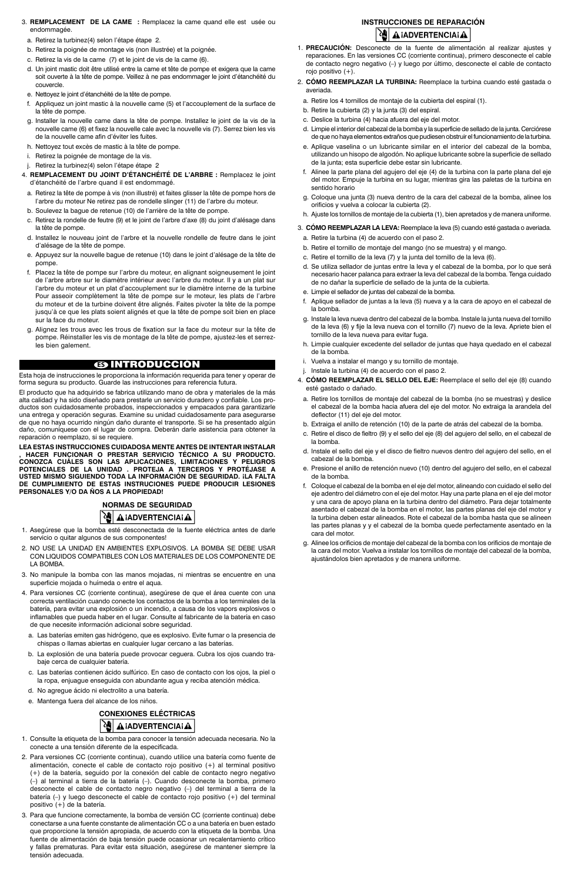- 3. **REMPLACEMENT DE LA CAME :** Remplacez la came quand elle est usée ou endommagée.
	- a. Retirez la turbinez(4) selon l'étape étape 2.
	- b. Retirez la poignée de montage vis (non illustrée) et la poignée.
	- c. Retirez la vis de la came (7) et le joint de vis de la came (6).
- d. Un joint mastic doit être utilisé entre la came et tête de pompe et exigera que la came soit ouverte à la tête de pompe. Veillez à ne pas endommager le joint d'étanchéité du couvercle.
- e. Nettoyez le joint d'étanchéité de la tête de pompe.
- f. Appliquez un joint mastic à la nouvelle came (5) et l'accouplement de la surface de la tête de pompe.
- g. Installer la nouvelle came dans la tête de pompe. Installez le joint de la vis de la nouvelle came (6) et fixez la nouvelle cale avec la nouvelle vis (7). Serrez bien les vis de la nouvelle came afin d'éviter les fuites.
- h. Nettoyez tout excès de mastic à la tête de pompe.
- i. Retirez la poignée de montage de la vis.
- j. Retirez la turbinez(4) selon l'étape étape 2
- 4. **REMPLACEMENT DU JOINT D'ÉTANCHÉITÉ DE L'ARBRE :** Remplacez le joint d'étanchéité de l'arbre quand il est endommagé.
- a. Retirez la tête de pompe à vis (non illustré) et faites glisser la tête de pompe hors de l'arbre du moteur Ne retirez pas de rondelle slinger (11) de l'arbre du moteur.
- b. Soulevez la bague de retenue (10) de l'arrière de la tête de pompe.
- c. Retirez la rondelle de feutre (9) et le joint de l'arbre d'axe (8) du joint d'alésage dans la tête de pompe.
- d. Installez le nouveau joint de l'arbre et la nouvelle rondelle de feutre dans le joint d'alésage de la tête de pompe.
- e. Appuyez sur la nouvelle bague de retenue (10) dans le joint d'alésage de la tête de pompe.
- f. Placez la tête de pompe sur l'arbre du moteur, en alignant soigneusement le joint de l'arbre arbre sur le diamètre intérieur avec l'arbre du moteur. Il y a un plat sur l'arbre du moteur et un plat d'accouplement sur le diamètre interne de la turbine Pour asseoir complètement la tête de pompe sur le moteur, les plats de l'arbre du moteur et de la turbine doivent être alignés. Faites pivoter la tête de la pompe jusqu'à ce que les plats soient alignés et que la tête de pompe soit bien en place sur la face du moteur.
- g. Alignez les trous avec les trous de fixation sur la face du moteur sur la tête de pompe. Réinstaller les vis de montage de la tête de pompe, ajustez-les et serrezles bien galement.

# **NORMAS DE SEGURIDAD AIADVERTENCIAIA**

# **ES** INTRODUCCIÓN

Esta hoja de instrucciones le proporciona la información requerida para tener y operar de forma segura su producto. Guarde las instrucciones para referencia futura.

El producto que ha adquirido se fabrica utilizando mano de obra y materiales de la más alta calidad y ha sido diseñado para prestarle un servicio duradero y confiable. Los productos son cuidadosamente probados, inspeccionados y empacados para garantizarle una entrega y operación seguras. Examine su unidad cuidadosamente para asegurarse de que no haya ocurrido ningún daño durante el transporte. Si se ha presentado algún daño, comuníquese con el lugar de compra. Deberán darle asistencia para obtener la reparación o reemplazo, si se requiere.

## **Instrucciones de reparación A** IADVERTENCIAI A

**LEA ESTAS INSTRUCCIONES CUIDADOSA MENTE ANTES DE INTENTAR INSTALAR , HACER FUNCIONAR O PRESTAR SERVICIO TÉCNICO A SU PRODUCTO. CONOZCA CUÁLES SON LAS APLICACIONES, LIMITACIONES Y PELIGROS POTENCIALES DE LA UNIDAD . PROTEJA A TERCEROS Y PROTÉJASE A USTED MISMO SIGUIENDO TODA LA INFORMACIÓN DE SEGURIDAD. ¡LA FALTA DE CUMPLIMIENTO DE ESTAS INSTRUCIONES PUEDE PRODUCIR LESIONES PERSONALES Y/O DA ÑOS A LA PROPIEDAD!**

- 1. Asegúrese que la bomba esté desconectada de la fuente eléctrica antes de darle servicio o quitar algunos de sus componentes!
- 2. NO USE LA UNIDAD EN AMBIENTES EXPLOSIVOS. LA BOMBA SE DEBE USAR CON LIQUIDOS COMPATIBLES CON LOS MATERIALES DE LOS COMPONENTE DE LA BOMBA.
- 3. No manipule la bomba con las manos mojadas, ni mientras se encuentre en una superficie mojada o huímeda o entre el aqua.
- 4. Para versiones CC (corriente continua), asegúrese de que el área cuente con una correcta ventilación cuando conecte los contactos de la bomba a los terminales de la batería, para evitar una explosión o un incendio, a causa de los vapors explosivos o inflamables que pueda haber en el lugar. Consulte al fabricante de la batería en caso de que necesite información adicional sobre seguridad.
	- a. Las baterías emiten gas hidrógeno, que es explosivo. Evite fumar o la presencia de chispas o llamas abiertas en cualquier lugar cercano a las baterías. b. La explosión de una batería puede provocar ceguera. Cubra los ojos cuando trabaje cerca de cualquier batería.

- c. Las baterías contienen ácido sulfúrico. En caso de contacto con los ojos, la piel o la ropa, enjuague enseguida con abundante agua y reciba atención médica.
- d. No agregue ácido ni electrolito a una batería.
- e. Mantenga fuera del alcance de los niños.



- 1. Consulte la etiqueta de la bomba para conocer la tensión adecuada necesaria. No la conecte a una tensión diferente de la especificada.
- 2. Para versiones CC (corriente continua), cuando utilice una batería como fuente de alimentación, conecte el cable de contacto rojo positivo (+) al terminal positivo (+) de la batería, seguido por la conexión del cable de contacto negro negativo (–) al terminal a tierra de la batería (–). Cuando desconecte la bomba, primero desconecte el cable de contacto negro negativo (–) del terminal a tierra de la batería (–) y luego desconecte el cable de contacto rojo positivo (+) del terminal positivo (+) de la batería.
- 3. Para que funcione correctamente, la bomba de versión CC (corriente continua) debe conectarse a una fuente constante de alimentación CC o a una batería en buen estado que proporcione la tensión apropiada, de acuerdo con la etiqueta de la bomba. Una fuente de alimentación de baja tensión puede ocasionar un recalentamiento crítico y fallas prematuras. Para evitar esta situación, asegúrese de mantener siempre la tensión adecuada.
- 1. **PRECAUCIÓN:** Desconecte de la fuente de alimentación al realizar ajustes y reparaciones. En las versiones CC (corriente continua), primero desconecte el cable de contacto negro negativo (–) y luego por último, desconecte el cable de contacto rojo positivo (+).
- 2. **CÓMO REEMPLAZAR LA TURBINA:** Reemplace la turbina cuando esté gastada o averiada.
- a. Retire los 4 tornillos de montaje de la cubierta del espiral (1).
- b. Retire la cubierta (2) y la junta (3) del espiral.
- c. Deslice la turbina (4) hacia afuera del eje del motor.
- d. Limpie el interior del cabezal de la bomba y la superficie de sellado de la junta. Cerciórese de que no haya elementos extraños que pudiesen obstruir el funcionamiento de la turbina.
- e. Aplique vaselina o un lubricante similar en el interior del cabezal de la bomba, utilizando un hisopo de algodón. No aplique lubricante sobre la superficie de sellado de la junta; esta superficie debe estar sin lubricante.
- f. Alinee la parte plana del agujero del eje (4) de la turbina con la parte plana del eje del motor. Empuje la turbina en su lugar, mientras gira las paletas de la turbina en sentido horario
- g. Coloque una junta (3) nueva dentro de la cara del cabezal de la bomba, alinee los orificios y vuelva a colocar la cubierta (2).
- h. Ajuste los tornillos de montaje de la cubierta (1), bien apretados y de manera uniforme.
- 3. **CÓMO REEMPLAZAR LA LEVA:** Reemplace la leva (5) cuando esté gastada o averiada.
- a. Retire la turbina (4) de acuerdo con el paso 2.
- b. Retire el tornillo de montaje del mango (no se muestra) y el mango.
- c. Retire el tornillo de la leva (7) y la junta del tornillo de la leva (6).
- d. Se utiliza sellador de juntas entre la leva y el cabezal de la bomba, por lo que será necesario hacer palanca para extraer la leva del cabezal de la bomba. Tenga cuidado de no dañar la superficie de sellado de la junta de la cubierta.
- e. Limpie el sellador de juntas del cabezal de la bomba.
- f. Aplique sellador de juntas a la leva (5) nueva y a la cara de apoyo en el cabezal de la bomba.
- g. Instale la leva nueva dentro del cabezal de la bomba. Instale la junta nueva del tornillo de la leva (6) y fije la leva nueva con el tornillo (7) nuevo de la leva. Apriete bien el tornillo de la leva nueva para evitar fuga.
- h. Limpie cualquier excedente del sellador de juntas que haya quedado en el cabezal de la bomba.
- i. Vuelva a instalar el mango y su tornillo de montaje.
- j. Instale la turbina (4) de acuerdo con el paso 2.
- 4. **CÓMO REEMPLAZAR EL SELLO DEL EJE:** Reemplace el sello del eje (8) cuando esté gastado o dañado.
- a. Retire los tornillos de montaje del cabezal de la bomba (no se muestras) y deslice el cabezal de la bomba hacia afuera del eje del motor. No extraiga la arandela del deflector (11) del eje del motor.
- b. Extraiga el anillo de retención (10) de la parte de atrás del cabezal de la bomba.
- c. Retire el disco de fieltro (9) y el sello del eje (8) del agujero del sello, en el cabezal de la bomba.
- d. Instale el sello del eje y el disco de fieltro nuevos dentro del agujero del sello, en el cabezal de la bomba.
- e. Presione el anillo de retención nuevo (10) dentro del agujero del sello, en el cabezal de la bomba.
- f. Coloque el cabezal de la bomba en el eje del motor, alineando con cuidado el sello del eje adentro del diámetro con el eje del motor. Hay una parte plana en el eje del motor y una cara de apoyo plana en la turbina dentro del diámetro. Para dejar totalmente asentado el cabezal de la bomba en el motor, las partes planas del eje del motor y la turbina deben estar alineados. Rote el cabezal de la bomba hasta que se alineen las partes planas y y el cabezal de la bomba quede perfectamente asentado en la cara del motor.
- g. Alinee los orificios de montaje del cabezal de la bomba con los orificios de montaje de la cara del motor. Vuelva a instalar los tornillos de montaje del cabezal de la bomba, ajustándolos bien apretados y de manera uniforme.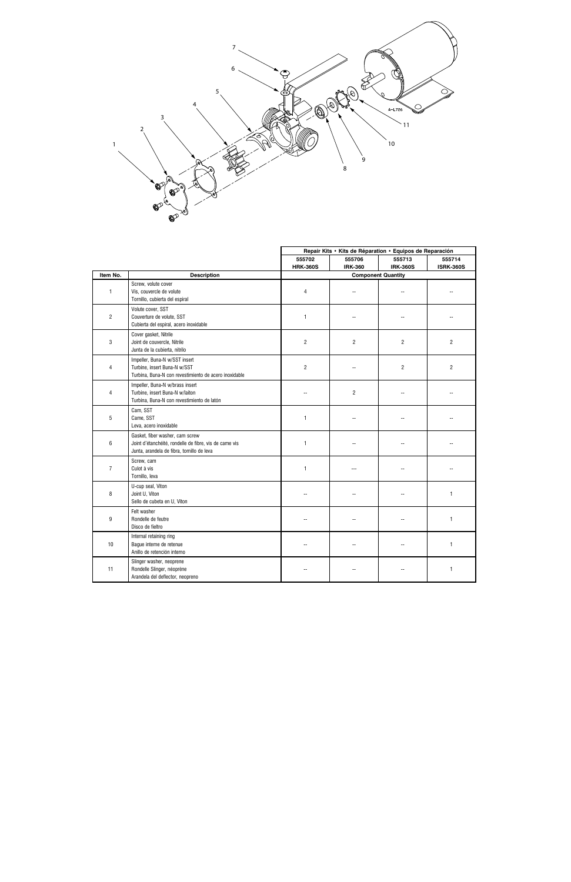

|                |                                                                                                                                         |                 | Repair Kits • Kits de Réparation • Equipos de Reparación |                 |                  |
|----------------|-----------------------------------------------------------------------------------------------------------------------------------------|-----------------|----------------------------------------------------------|-----------------|------------------|
|                |                                                                                                                                         | 555702          | 555706                                                   | 555713          | 555714           |
|                |                                                                                                                                         | <b>HRK-360S</b> | <b>IRK-360</b>                                           | <b>IRK-360S</b> | <b>ISRK-360S</b> |
| Item No.       | <b>Description</b>                                                                                                                      |                 | <b>Component Quantity</b>                                |                 |                  |
| $\mathbf{1}$   | Screw, volute cover<br>Vis, couvercle de volute<br>Tornillo, cubierta del espiral                                                       | 4               | $\overline{a}$                                           | --              |                  |
| $\overline{c}$ | Volute cover, SST<br>Couverture de volute, SST<br>Cubierta del espiral, acero inoxidable                                                | $\mathbf{1}$    | ۵.                                                       |                 |                  |
| 3              | Cover gasket, Nitrile<br>Joint de couvercle, Nitrile<br>Junta de la cubierta, nitrilo                                                   | $\overline{c}$  | 2                                                        | $\overline{2}$  | $\overline{2}$   |
| 4              | Impeller, Buna-N w/SST insert<br>Turbine, insert Buna-N w/SST<br>Turbina, Buna-N con revestimiento de acero inoxidable                  | $\overline{2}$  | ۵.                                                       | $\overline{2}$  | $\overline{2}$   |
| $\overline{4}$ | Impeller, Buna-N w/brass insert<br>Turbine, insert Buna-N w/laiton<br>Turbina, Buna-N con revestimiento de latón                        |                 | $\overline{c}$                                           |                 |                  |
| 5              | Cam, SST<br>Came, SST<br>Leva, acero inoxidable                                                                                         | $\mathbf{1}$    | ۵.                                                       |                 |                  |
| 6              | Gasket, fiber washer, cam screw<br>Joint d'étanchéité, rondelle de fibre, vis de came vis<br>Junta, arandela de fibra, tornillo de leva | $\mathbf{1}$    |                                                          |                 |                  |
| $\overline{7}$ | Screw, cam<br>Culot à vis<br>Tornillo, leva                                                                                             | $\mathbf{1}$    |                                                          |                 |                  |
| 8              | U-cup seal, Viton<br>Joint U, Viton<br>Sello de cubeta en U, Viton                                                                      |                 |                                                          |                 | 1                |
| 9              | Felt washer<br>Rondelle de feutre<br>Disco de fieltro                                                                                   |                 |                                                          |                 | $\mathbf{1}$     |
| $10$           | Internal retaining ring<br>Bague interne de retenue<br>Anillo de retención interno                                                      |                 |                                                          |                 | $\mathbf{1}$     |
| 11             | Slinger washer, neoprene<br>Rondelle Slinger, néoprène<br>Arandela del deflector, neopreno                                              |                 |                                                          |                 | 1                |